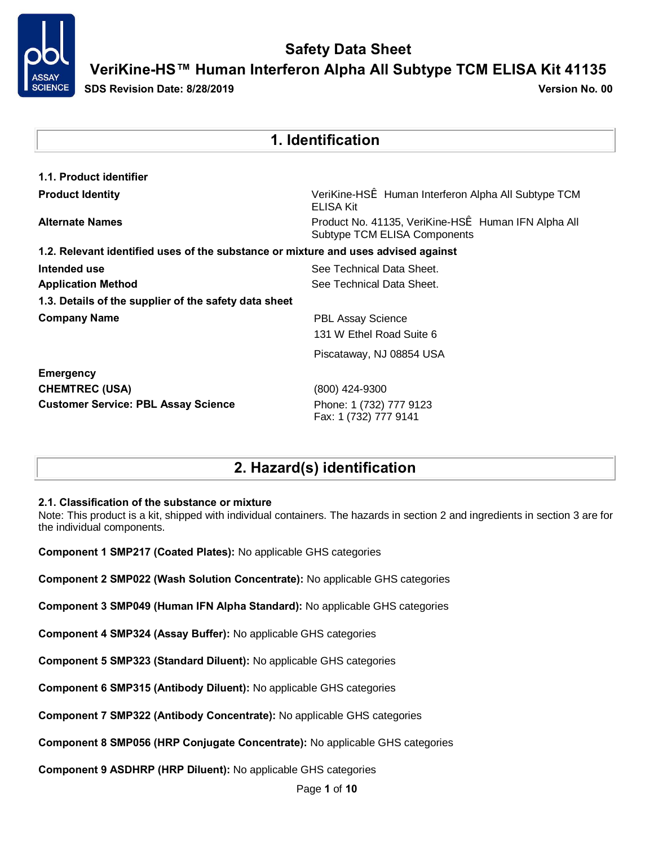

**VeriKine-HS™ Human Interferon Alpha All Subtype TCM ELISA Kit 41135**

**SDS Revision Date: 8/28/2019 Version No. 00**

| 1. Identification                                                                  |                                                                                     |  |  |
|------------------------------------------------------------------------------------|-------------------------------------------------------------------------------------|--|--|
| 1.1. Product identifier                                                            |                                                                                     |  |  |
| <b>Product Identity</b>                                                            | VeriKine-HSi Human Interferon Alpha All Subtype TCM<br><b>ELISA Kit</b>             |  |  |
| <b>Alternate Names</b>                                                             | Product No. 41135, VeriKine-HSi Human IFN Alpha All<br>Subtype TCM ELISA Components |  |  |
| 1.2. Relevant identified uses of the substance or mixture and uses advised against |                                                                                     |  |  |
| Intended use                                                                       | See Technical Data Sheet.                                                           |  |  |
| <b>Application Method</b>                                                          | See Technical Data Sheet.                                                           |  |  |
| 1.3. Details of the supplier of the safety data sheet                              |                                                                                     |  |  |
| <b>Company Name</b>                                                                | <b>PBL Assay Science</b>                                                            |  |  |
|                                                                                    | 131 W Ethel Road Suite 6                                                            |  |  |
|                                                                                    | Piscataway, NJ 08854 USA                                                            |  |  |
| <b>Emergency</b>                                                                   |                                                                                     |  |  |
| <b>CHEMTREC (USA)</b>                                                              | (800) 424-9300                                                                      |  |  |
| <b>Customer Service: PBL Assay Science</b>                                         | Phone: 1 (732) 777 9123<br>Fax: 1 (732) 777 9141                                    |  |  |

## **2. Hazard(s) identification**

#### **2.1. Classification of the substance or mixture**

Note: This product is a kit, shipped with individual containers. The hazards in section 2 and ingredients in section 3 are for the individual components.

**Component 1 SMP217 (Coated Plates):** No applicable GHS categories

**Component 2 SMP022 (Wash Solution Concentrate):** No applicable GHS categories

**Component 3 SMP049 (Human IFN Alpha Standard):** No applicable GHS categories

**Component 4 SMP324 (Assay Buffer):** No applicable GHS categories

**Component 5 SMP323 (Standard Diluent):** No applicable GHS categories

**Component 6 SMP315 (Antibody Diluent):** No applicable GHS categories

**Component 7 SMP322 (Antibody Concentrate):** No applicable GHS categories

**Component 8 SMP056 (HRP Conjugate Concentrate):** No applicable GHS categories

**Component 9 ASDHRP (HRP Diluent):** No applicable GHS categories

Page **1** of **10**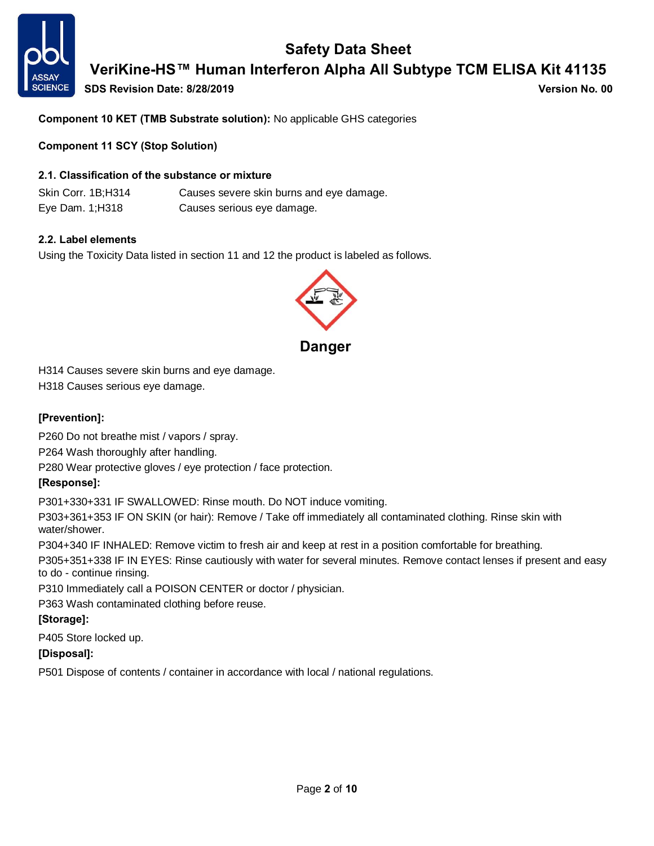

# **Safety Data Sheet VeriKine-HS™ Human Interferon Alpha All Subtype TCM ELISA Kit 41135**

**SDS Revision Date: 8/28/2019 Version No. 00**

**Component 10 KET (TMB Substrate solution):** No applicable GHS categories

**Component 11 SCY (Stop Solution)**

#### **2.1. Classification of the substance or mixture**

Skin Corr. 1B;H314 Causes severe skin burns and eye damage. Eye Dam. 1;H318 Causes serious eye damage.

#### **2.2. Label elements**

Using the Toxicity Data listed in section 11 and 12 the product is labeled as follows.



H314 Causes severe skin burns and eye damage.

H318 Causes serious eye damage.

#### **[Prevention]:**

P260 Do not breathe mist / vapors / spray.

P264 Wash thoroughly after handling.

P280 Wear protective gloves / eye protection / face protection.

#### **[Response]:**

P301+330+331 IF SWALLOWED: Rinse mouth. Do NOT induce vomiting.

P303+361+353 IF ON SKIN (or hair): Remove / Take off immediately all contaminated clothing. Rinse skin with water/shower.

P304+340 IF INHALED: Remove victim to fresh air and keep at rest in a position comfortable for breathing.

P305+351+338 IF IN EYES: Rinse cautiously with water for several minutes. Remove contact lenses if present and easy to do - continue rinsing.

P310 Immediately call a POISON CENTER or doctor / physician.

P363 Wash contaminated clothing before reuse.

#### **[Storage]:**

P405 Store locked up.

#### **[Disposal]:**

P501 Dispose of contents / container in accordance with local / national regulations.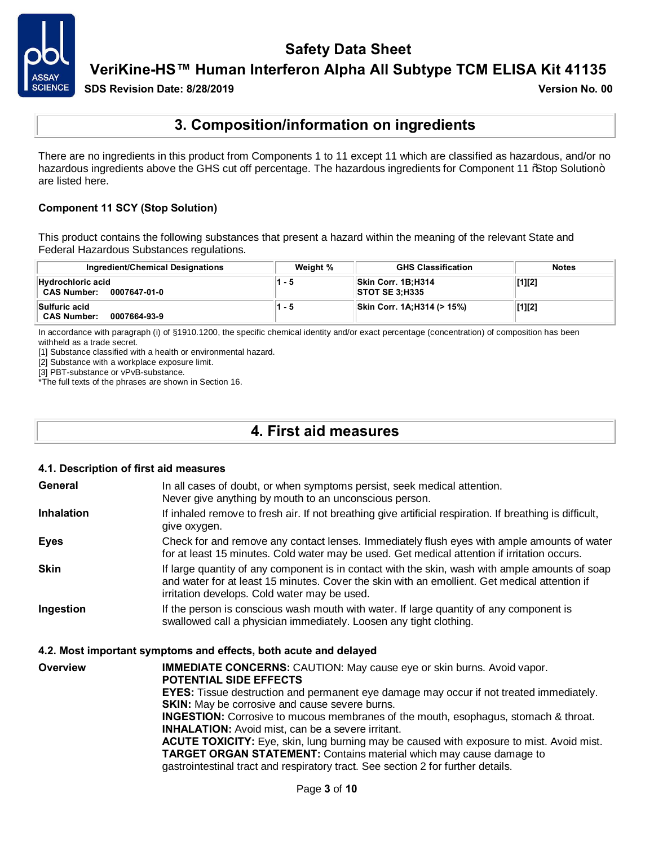

**VeriKine-HS™ Human Interferon Alpha All Subtype TCM ELISA Kit 41135**

**SDS Revision Date: 8/28/2019 Version No. 00**

### **3. Composition/information on ingredients**

There are no ingredients in this product from Components 1 to 11 except 11 which are classified as hazardous, and/or no hazardous ingredients above the GHS cut off percentage. The hazardous ingredients for Component 11 % atop Solution+ are listed here.

#### **Component 11 SCY (Stop Solution)**

This product contains the following substances that present a hazard within the meaning of the relevant State and Federal Hazardous Substances regulations.

| Ingredient/Chemical Designations                        | Weight % | <b>GHS Classification</b>                   | <b>Notes</b> |
|---------------------------------------------------------|----------|---------------------------------------------|--------------|
| Hydrochloric acid<br><b>CAS Number:</b><br>0007647-01-0 | 1 - 5    | Skin Corr. 1B;H314<br><b>STOT SE 3:H335</b> | [1][2]       |
| Sulfuric acid<br><b>CAS Number:</b><br>0007664-93-9     | 1 - 5    | Skin Corr. 1A; H314 (> 15%)                 | [1][2]       |

In accordance with paragraph (i) of §1910.1200, the specific chemical identity and/or exact percentage (concentration) of composition has been withheld as a trade secret.

[1] Substance classified with a health or environmental hazard.

[2] Substance with a workplace exposure limit.

[3] PBT-substance or vPvB-substance.

\*The full texts of the phrases are shown in Section 16.

### **4. First aid measures**

#### **4.1. Description of first aid measures**

| General           | In all cases of doubt, or when symptoms persist, seek medical attention.<br>Never give anything by mouth to an unconscious person.                                                                                                               |
|-------------------|--------------------------------------------------------------------------------------------------------------------------------------------------------------------------------------------------------------------------------------------------|
| <b>Inhalation</b> | If inhaled remove to fresh air. If not breathing give artificial respiration. If breathing is difficult,<br>give oxygen.                                                                                                                         |
| <b>Eyes</b>       | Check for and remove any contact lenses. Immediately flush eyes with ample amounts of water<br>for at least 15 minutes. Cold water may be used. Get medical attention if irritation occurs.                                                      |
| <b>Skin</b>       | If large quantity of any component is in contact with the skin, wash with ample amounts of soap<br>and water for at least 15 minutes. Cover the skin with an emollient. Get medical attention if<br>irritation develops. Cold water may be used. |
| Ingestion         | If the person is conscious wash mouth with water. If large quantity of any component is<br>swallowed call a physician immediately. Loosen any tight clothing.                                                                                    |

#### **4.2. Most important symptoms and effects, both acute and delayed**

**Overview <b>IMMEDIATE CONCERNS:** CAUTION: May cause eye or skin burns. Avoid vapor. **POTENTIAL SIDE EFFECTS EYES:** Tissue destruction and permanent eye damage may occur if not treated immediately. **SKIN:** May be corrosive and cause severe burns. **INGESTION:** Corrosive to mucous membranes of the mouth, esophagus, stomach & throat. **INHALATION:** Avoid mist, can be a severe irritant. **ACUTE TOXICITY:** Eye, skin, lung burning may be caused with exposure to mist. Avoid mist. **TARGET ORGAN STATEMENT:** Contains material which may cause damage to gastrointestinal tract and respiratory tract. See section 2 for further details.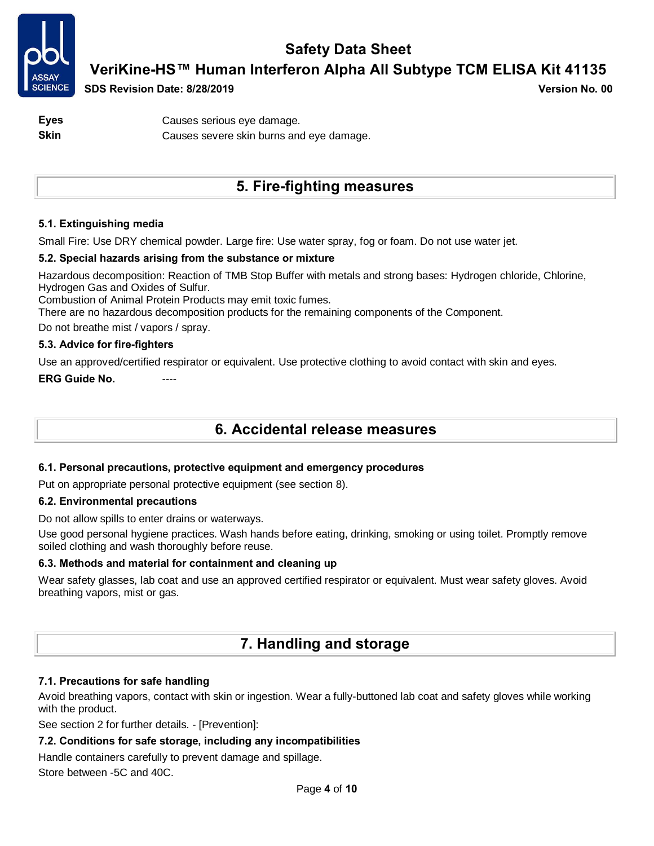

**VeriKine-HS™ Human Interferon Alpha All Subtype TCM ELISA Kit 41135**

**SDS Revision Date: 8/28/2019 Version No. 00**

**Eyes** Causes serious eye damage. **Skin** Causes severe skin burns and eye damage.

## **5. Fire-fighting measures**

#### **5.1. Extinguishing media**

Small Fire: Use DRY chemical powder. Large fire: Use water spray, fog or foam. Do not use water jet.

#### **5.2. Special hazards arising from the substance or mixture**

Hazardous decomposition: Reaction of TMB Stop Buffer with metals and strong bases: Hydrogen chloride, Chlorine, Hydrogen Gas and Oxides of Sulfur.

Combustion of Animal Protein Products may emit toxic fumes.

There are no hazardous decomposition products for the remaining components of the Component.

Do not breathe mist / vapors / spray.

#### **5.3. Advice for fire-fighters**

Use an approved/certified respirator or equivalent. Use protective clothing to avoid contact with skin and eyes.

**ERG Guide No.** ----

### **6. Accidental release measures**

#### **6.1. Personal precautions, protective equipment and emergency procedures**

Put on appropriate personal protective equipment (see section 8).

#### **6.2. Environmental precautions**

Do not allow spills to enter drains or waterways.

Use good personal hygiene practices. Wash hands before eating, drinking, smoking or using toilet. Promptly remove soiled clothing and wash thoroughly before reuse.

#### **6.3. Methods and material for containment and cleaning up**

Wear safety glasses, lab coat and use an approved certified respirator or equivalent. Must wear safety gloves. Avoid breathing vapors, mist or gas.

### **7. Handling and storage**

#### **7.1. Precautions for safe handling**

Avoid breathing vapors, contact with skin or ingestion. Wear a fully-buttoned lab coat and safety gloves while working with the product.

See section 2 for further details. - [Prevention]:

#### **7.2. Conditions for safe storage, including any incompatibilities**

Handle containers carefully to prevent damage and spillage.

Store between -5C and 40C.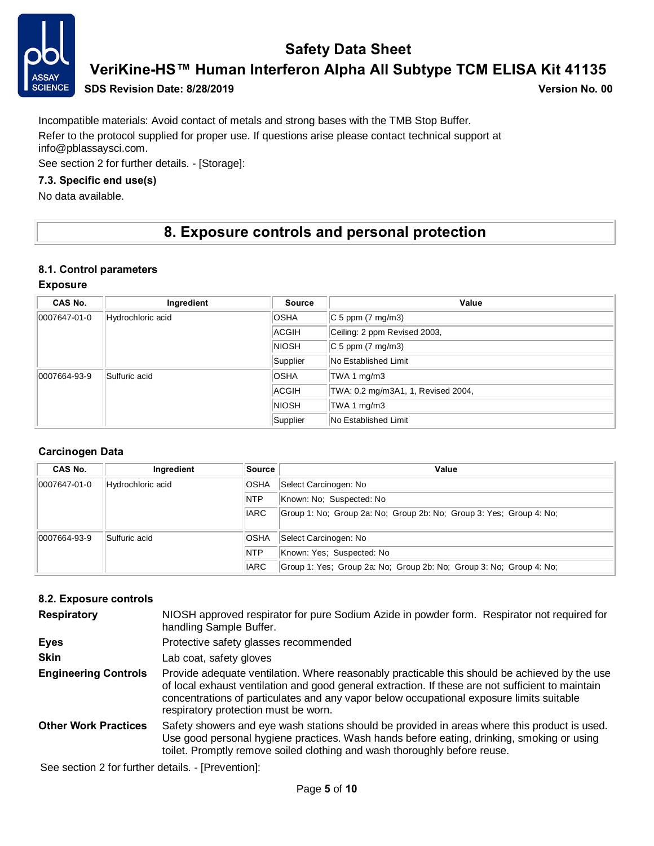

**VeriKine-HS™ Human Interferon Alpha All Subtype TCM ELISA Kit 41135**

#### **SDS Revision Date: 8/28/2019 Version No. 00**

Incompatible materials: Avoid contact of metals and strong bases with the TMB Stop Buffer. Refer to the protocol supplied for proper use. If questions arise please contact technical support at info@pblassaysci.com.

See section 2 for further details. - [Storage]:

#### **7.3. Specific end use(s)**

No data available.

### **8. Exposure controls and personal protection**

#### **8.1. Control parameters**

#### **Exposure**

| CAS No.      | Ingredient        | <b>Source</b> | Value                              |
|--------------|-------------------|---------------|------------------------------------|
| 0007647-01-0 | Hydrochloric acid | <b>OSHA</b>   | $ C 5$ ppm $(7 \text{ mg/m3})$     |
|              |                   | <b>ACGIH</b>  | Ceiling: 2 ppm Revised 2003,       |
|              |                   | <b>NIOSH</b>  | $ C 5$ ppm $(7 \text{ mg/m3})$     |
|              |                   | Supplier      | No Established Limit               |
| 0007664-93-9 | Sulfuric acid     | <b>OSHA</b>   | TWA 1 mg/m3                        |
|              |                   | ACGIH         | TWA: 0.2 mg/m3A1, 1, Revised 2004, |
|              |                   | <b>NIOSH</b>  | TWA 1 mg/m3                        |
|              |                   | Supplier      | No Established Limit               |

#### **Carcinogen Data**

| CAS No.      | Ingredient        | Source      | Value                                                               |
|--------------|-------------------|-------------|---------------------------------------------------------------------|
| 0007647-01-0 | Hydrochloric acid | <b>OSHA</b> | Select Carcinogen: No                                               |
|              |                   | <b>NTP</b>  | Known: No: Suspected: No                                            |
|              |                   | <b>IARC</b> | Group 1: No; Group 2a: No; Group 2b: No; Group 3: Yes; Group 4: No; |
| 0007664-93-9 | Sulfuric acid     | <b>OSHA</b> | Select Carcinogen: No                                               |
|              |                   | <b>NTP</b>  | Known: Yes: Suspected: No                                           |
|              |                   | <b>IARC</b> | Group 1: Yes; Group 2a: No; Group 2b: No; Group 3: No; Group 4: No; |

#### **8.2. Exposure controls**

| <b>Respiratory</b>          | NIOSH approved respirator for pure Sodium Azide in powder form. Respirator not required for<br>handling Sample Buffer.                                                                                                                                                                                                                 |
|-----------------------------|----------------------------------------------------------------------------------------------------------------------------------------------------------------------------------------------------------------------------------------------------------------------------------------------------------------------------------------|
| <b>Eyes</b>                 | Protective safety glasses recommended                                                                                                                                                                                                                                                                                                  |
| <b>Skin</b>                 | Lab coat, safety gloves                                                                                                                                                                                                                                                                                                                |
| <b>Engineering Controls</b> | Provide adequate ventilation. Where reasonably practicable this should be achieved by the use<br>of local exhaust ventilation and good general extraction. If these are not sufficient to maintain<br>concentrations of particulates and any vapor below occupational exposure limits suitable<br>respiratory protection must be worn. |
| <b>Other Work Practices</b> | Safety showers and eye wash stations should be provided in areas where this product is used.<br>Use good personal hygiene practices. Wash hands before eating, drinking, smoking or using<br>toilet. Promptly remove soiled clothing and wash thoroughly before reuse.                                                                 |

See section 2 for further details. - [Prevention]: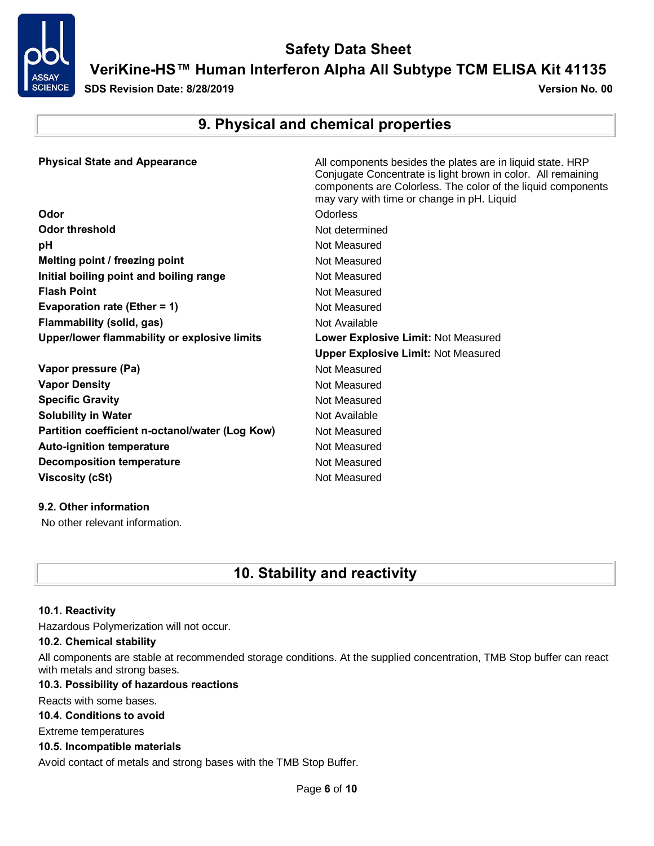

### **Safety Data Sheet VeriKine-HS™ Human Interferon Alpha All Subtype TCM ELISA Kit 41135**

**SDS Revision Date: 8/28/2019 Version No. 00**

## **9. Physical and chemical properties**

| <b>Physical State and Appearance</b>            | All components besides the plates are in liquid state. HRP<br>Conjugate Concentrate is light brown in color. All remaining<br>components are Colorless. The color of the liquid components<br>may vary with time or change in pH. Liquid |
|-------------------------------------------------|------------------------------------------------------------------------------------------------------------------------------------------------------------------------------------------------------------------------------------------|
| Odor                                            | Odorless                                                                                                                                                                                                                                 |
| <b>Odor threshold</b>                           | Not determined                                                                                                                                                                                                                           |
| рH                                              | Not Measured                                                                                                                                                                                                                             |
| Melting point / freezing point                  | Not Measured                                                                                                                                                                                                                             |
| Initial boiling point and boiling range         | Not Measured                                                                                                                                                                                                                             |
| <b>Flash Point</b>                              | Not Measured                                                                                                                                                                                                                             |
| Evaporation rate (Ether = 1)                    | Not Measured                                                                                                                                                                                                                             |
| Flammability (solid, gas)                       | Not Available                                                                                                                                                                                                                            |
| Upper/lower flammability or explosive limits    | Lower Explosive Limit: Not Measured                                                                                                                                                                                                      |
|                                                 | <b>Upper Explosive Limit: Not Measured</b>                                                                                                                                                                                               |
| Vapor pressure (Pa)                             | Not Measured                                                                                                                                                                                                                             |
| <b>Vapor Density</b>                            | Not Measured                                                                                                                                                                                                                             |
| <b>Specific Gravity</b>                         | Not Measured                                                                                                                                                                                                                             |
| <b>Solubility in Water</b>                      | Not Available                                                                                                                                                                                                                            |
| Partition coefficient n-octanol/water (Log Kow) | Not Measured                                                                                                                                                                                                                             |
| <b>Auto-ignition temperature</b>                | Not Measured                                                                                                                                                                                                                             |
| <b>Decomposition temperature</b>                | Not Measured                                                                                                                                                                                                                             |
| <b>Viscosity (cSt)</b>                          | Not Measured                                                                                                                                                                                                                             |

#### **9.2. Other information**

No other relevant information.

### **10. Stability and reactivity**

#### **10.1. Reactivity**

Hazardous Polymerization will not occur.

#### **10.2. Chemical stability**

All components are stable at recommended storage conditions. At the supplied concentration, TMB Stop buffer can react with metals and strong bases.

#### **10.3. Possibility of hazardous reactions**

Reacts with some bases.

#### **10.4. Conditions to avoid**

Extreme temperatures

#### **10.5. Incompatible materials**

Avoid contact of metals and strong bases with the TMB Stop Buffer.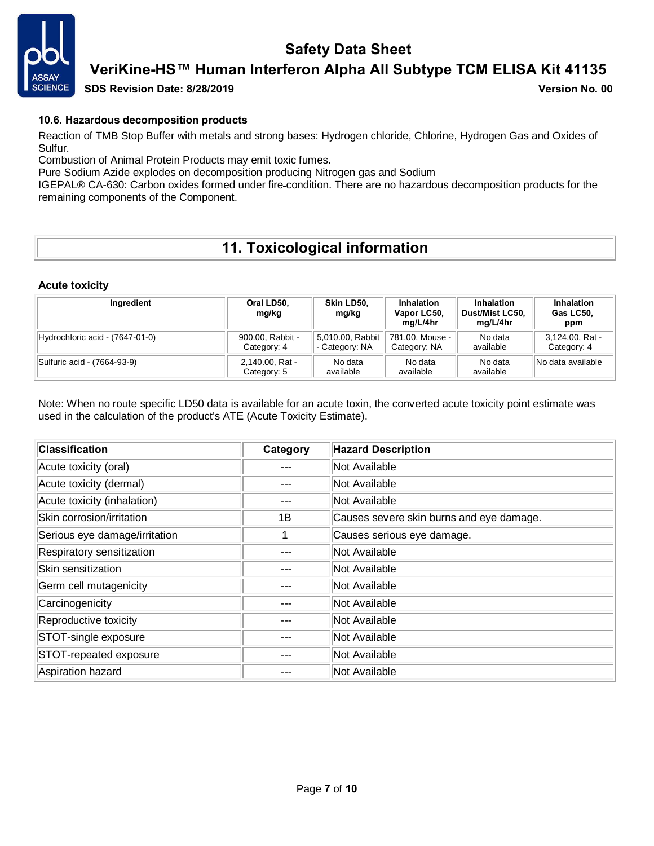

### **VeriKine-HS™ Human Interferon Alpha All Subtype TCM ELISA Kit 41135**

**SDS Revision Date: 8/28/2019 Version No. 00**

#### **10.6. Hazardous decomposition products**

Reaction of TMB Stop Buffer with metals and strong bases: Hydrogen chloride, Chlorine, Hydrogen Gas and Oxides of Sulfur.

Combustion of Animal Protein Products may emit toxic fumes.

Pure Sodium Azide explodes on decomposition producing Nitrogen gas and Sodium

IGEPAL® CA-630: Carbon oxides formed under fire condition. There are no hazardous decomposition products for the remaining components of the Component.

## **11. Toxicological information**

#### **Acute toxicity**

| Ingredient                      | Oral LD50,<br>mg/kg             | Skin LD50.<br>mg/kg                | <b>Inhalation</b><br>Vapor LC50.<br>mg/L/4hr | Inhalation<br>Dust/Mist LC50.<br>mg/L/4hr | Inhalation<br>Gas LC50.<br>ppm |
|---------------------------------|---------------------------------|------------------------------------|----------------------------------------------|-------------------------------------------|--------------------------------|
| Hydrochloric acid - (7647-01-0) | 900.00, Rabbit -<br>Category: 4 | 5,010.00, Rabbit<br>- Category: NA | 781.00, Mouse -<br>Category: NA              | No data<br>available                      | 3,124.00, Rat -<br>Category: 4 |
| Sulfuric acid - (7664-93-9)     | 2,140.00, Rat -<br>Category: 5  | No data<br>available               | No data<br>available                         | No data<br>available                      | No data available              |

Note: When no route specific LD50 data is available for an acute toxin, the converted acute toxicity point estimate was used in the calculation of the product's ATE (Acute Toxicity Estimate).

| <b>Classification</b>         | Category | <b>Hazard Description</b>                |
|-------------------------------|----------|------------------------------------------|
| Acute toxicity (oral)         | ---      | Not Available                            |
| Acute toxicity (dermal)       | ---      | Not Available                            |
| Acute toxicity (inhalation)   | ---      | Not Available                            |
| Skin corrosion/irritation     | 1Β       | Causes severe skin burns and eye damage. |
| Serious eye damage/irritation |          | Causes serious eye damage.               |
| Respiratory sensitization     |          | Not Available                            |
| Skin sensitization            | ---      | Not Available                            |
| Germ cell mutagenicity        | ---      | Not Available                            |
| Carcinogenicity               | ---      | Not Available                            |
| Reproductive toxicity         | ---      | Not Available                            |
| STOT-single exposure          |          | Not Available                            |
| STOT-repeated exposure        | ---      | Not Available                            |
| Aspiration hazard             |          | Not Available                            |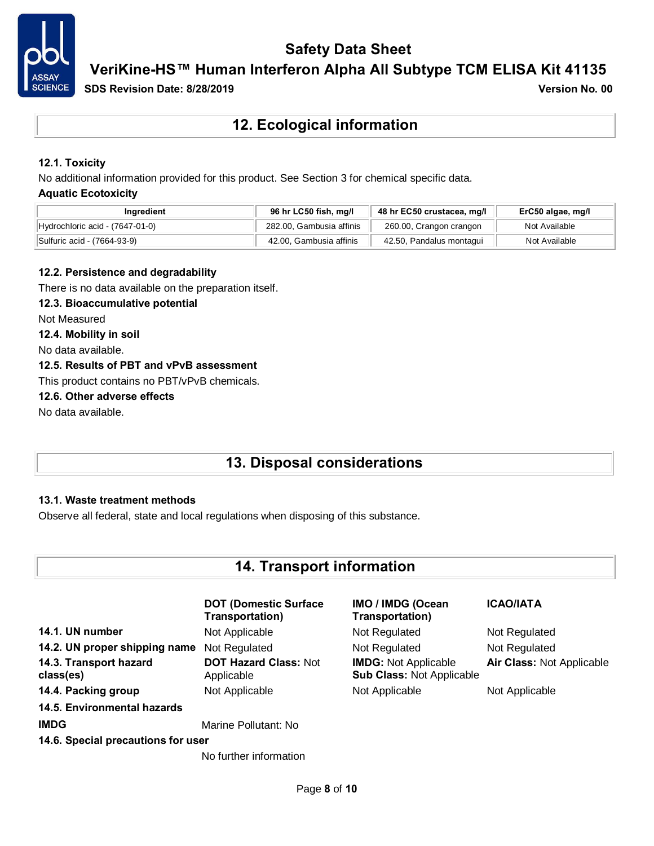

**VeriKine-HS™ Human Interferon Alpha All Subtype TCM ELISA Kit 41135**

**SDS Revision Date: 8/28/2019 Version No. 00**

**12. Ecological information**

#### **12.1. Toxicity**

No additional information provided for this product. See Section 3 for chemical specific data.

#### **Aquatic Ecotoxicity**

| Inaredient                      | 96 hr LC50 fish, mg/l    | 48 hr EC50 crustacea, mg/l | ErC50 algae, mg/l |
|---------------------------------|--------------------------|----------------------------|-------------------|
| Hydrochloric acid - (7647-01-0) | 282.00. Gambusia affinis | 260.00, Crangon crangon    | Not Available     |
| Sulfuric acid - (7664-93-9)     | 42.00, Gambusia affinis  | 42.50, Pandalus montagui   | Not Available     |

#### **12.2. Persistence and degradability**

There is no data available on the preparation itself.

#### **12.3. Bioaccumulative potential**

Not Measured

**12.4. Mobility in soil**

No data available.

#### **12.5. Results of PBT and vPvB assessment**

This product contains no PBT/vPvB chemicals.

#### **12.6. Other adverse effects**

No data available.

### **13. Disposal considerations**

#### **13.1. Waste treatment methods**

Observe all federal, state and local regulations when disposing of this substance.

### **14. Transport information**

|                                     | <b>DOT (Domestic Surface)</b><br>Transportation) | IMO / IMDG (Ocean<br>Transportation)                            | <b>ICAO/IATA</b>          |
|-------------------------------------|--------------------------------------------------|-----------------------------------------------------------------|---------------------------|
| 14.1. UN number                     | Not Applicable                                   | Not Regulated                                                   | Not Regulated             |
| 14.2. UN proper shipping name       | Not Regulated                                    | Not Regulated                                                   | Not Regulated             |
| 14.3. Transport hazard<br>class(es) | <b>DOT Hazard Class: Not</b><br>Applicable       | <b>IMDG: Not Applicable</b><br><b>Sub Class: Not Applicable</b> | Air Class: Not Applicable |
| 14.4. Packing group                 | Not Applicable                                   | Not Applicable                                                  | Not Applicable            |
| 14.5. Environmental hazards         |                                                  |                                                                 |                           |
| <b>IMDG</b>                         | Marine Pollutant: No                             |                                                                 |                           |
| 14.6. Special precautions for user  |                                                  |                                                                 |                           |
|                                     | No further information                           |                                                                 |                           |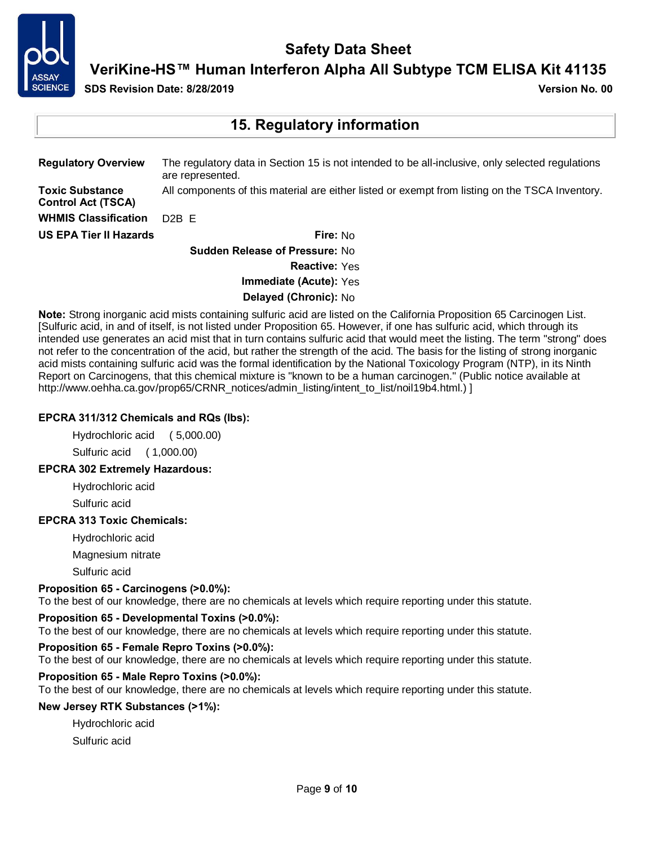

**VeriKine-HS™ Human Interferon Alpha All Subtype TCM ELISA Kit 41135**

**SDS Revision Date: 8/28/2019 Version No. 00**

### **15. Regulatory information**

| <b>Regulatory Overview</b>                          | The regulatory data in Section 15 is not intended to be all-inclusive, only selected regulations<br>are represented. |
|-----------------------------------------------------|----------------------------------------------------------------------------------------------------------------------|
| <b>Toxic Substance</b><br><b>Control Act (TSCA)</b> | All components of this material are either listed or exempt from listing on the TSCA Inventory.                      |
| <b>WHMIS Classification</b>                         | D <sub>2</sub> B F                                                                                                   |
| <b>US EPA Tier II Hazards</b>                       | Fire: $No$                                                                                                           |
|                                                     | Suddon Poloseo of Droceuro: No                                                                                       |

**Sudden Release of Pressure:** No **Reactive:** Yes **Immediate (Acute):** Yes

**Delayed (Chronic):** No

**Note:** Strong inorganic acid mists containing sulfuric acid are listed on the California Proposition 65 Carcinogen List. [Sulfuric acid, in and of itself, is not listed under Proposition 65. However, if one has sulfuric acid, which through its intended use generates an acid mist that in turn contains sulfuric acid that would meet the listing. The term "strong" does not refer to the concentration of the acid, but rather the strength of the acid. The basis for the listing of strong inorganic acid mists containing sulfuric acid was the formal identification by the National Toxicology Program (NTP), in its Ninth Report on Carcinogens, that this chemical mixture is "known to be a human carcinogen." (Public notice available at http://www.oehha.ca.gov/prop65/CRNR\_notices/admin\_listing/intent\_to\_list/noil19b4.html.) ]

#### **EPCRA 311/312 Chemicals and RQs (lbs):**

Hydrochloric acid ( 5,000.00) Sulfuric acid ( 1,000.00)

#### **EPCRA 302 Extremely Hazardous:**

Hydrochloric acid

Sulfuric acid

#### **EPCRA 313 Toxic Chemicals:**

Hydrochloric acid

Magnesium nitrate

Sulfuric acid

#### **Proposition 65 - Carcinogens (>0.0%):**

To the best of our knowledge, there are no chemicals at levels which require reporting under this statute.

#### **Proposition 65 - Developmental Toxins (>0.0%):**

To the best of our knowledge, there are no chemicals at levels which require reporting under this statute.

#### **Proposition 65 - Female Repro Toxins (>0.0%):**

To the best of our knowledge, there are no chemicals at levels which require reporting under this statute.

#### **Proposition 65 - Male Repro Toxins (>0.0%):**

To the best of our knowledge, there are no chemicals at levels which require reporting under this statute.

#### **New Jersey RTK Substances (>1%):**

Hydrochloric acid Sulfuric acid